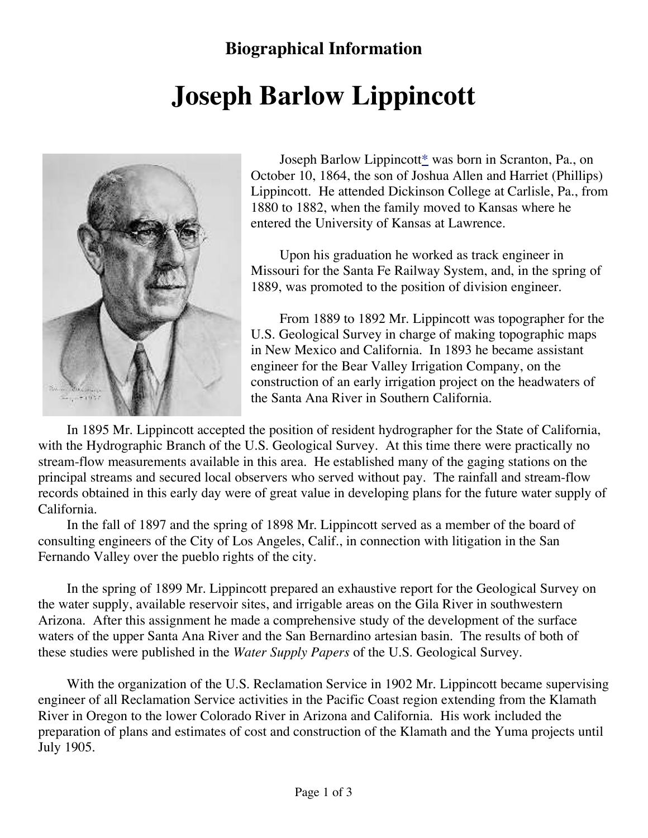## **Biographical Information**

## **Joseph Barlow Lippincott**



Joseph Barlow Lippincott\* was born in Scranton, Pa., on October 10, 1864, the son of Joshua Allen and Harriet (Phillips) Lippincott. He attended Dickinson College at Carlisle, Pa., from 1880 to 1882, when the family moved to Kansas where he entered the University of Kansas at Lawrence.

Upon his graduation he worked as track engineer in Missouri for the Santa Fe Railway System, and, in the spring of 1889, was promoted to the position of division engineer.

From 1889 to 1892 Mr. Lippincott was topographer for the U.S. Geological Survey in charge of making topographic maps in New Mexico and California. In 1893 he became assistant engineer for the Bear Valley Irrigation Company, on the construction of an early irrigation project on the headwaters of the Santa Ana River in Southern California.

In 1895 Mr. Lippincott accepted the position of resident hydrographer for the State of California, with the Hydrographic Branch of the U.S. Geological Survey. At this time there were practically no stream-flow measurements available in this area. He established many of the gaging stations on the principal streams and secured local observers who served without pay. The rainfall and stream-flow records obtained in this early day were of great value in developing plans for the future water supply of California.

In the fall of 1897 and the spring of 1898 Mr. Lippincott served as a member of the board of consulting engineers of the City of Los Angeles, Calif., in connection with litigation in the San Fernando Valley over the pueblo rights of the city.

In the spring of 1899 Mr. Lippincott prepared an exhaustive report for the Geological Survey on the water supply, available reservoir sites, and irrigable areas on the Gila River in southwestern Arizona. After this assignment he made a comprehensive study of the development of the surface waters of the upper Santa Ana River and the San Bernardino artesian basin. The results of both of these studies were published in the *Water Supply Papers* of the U.S. Geological Survey.

With the organization of the U.S. Reclamation Service in 1902 Mr. Lippincott became supervising engineer of all Reclamation Service activities in the Pacific Coast region extending from the Klamath River in Oregon to the lower Colorado River in Arizona and California. His work included the preparation of plans and estimates of cost and construction of the Klamath and the Yuma projects until July 1905.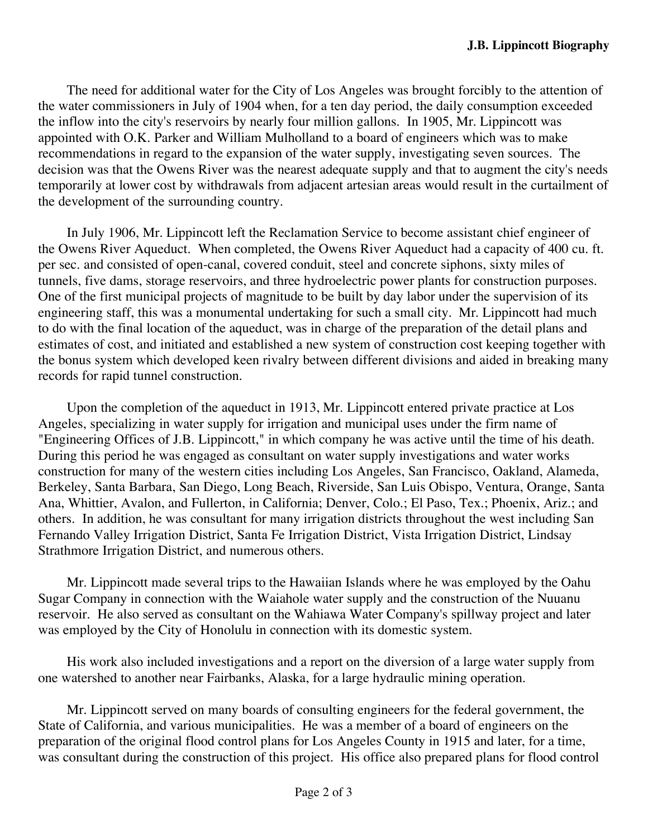The need for additional water for the City of Los Angeles was brought forcibly to the attention of the water commissioners in July of 1904 when, for a ten day period, the daily consumption exceeded the inflow into the city's reservoirs by nearly four million gallons. In 1905, Mr. Lippincott was appointed with O.K. Parker and William Mulholland to a board of engineers which was to make recommendations in regard to the expansion of the water supply, investigating seven sources. The decision was that the Owens River was the nearest adequate supply and that to augment the city's needs temporarily at lower cost by withdrawals from adjacent artesian areas would result in the curtailment of the development of the surrounding country.

In July 1906, Mr. Lippincott left the Reclamation Service to become assistant chief engineer of the Owens River Aqueduct. When completed, the Owens River Aqueduct had a capacity of 400 cu. ft. per sec. and consisted of open-canal, covered conduit, steel and concrete siphons, sixty miles of tunnels, five dams, storage reservoirs, and three hydroelectric power plants for construction purposes. One of the first municipal projects of magnitude to be built by day labor under the supervision of its engineering staff, this was a monumental undertaking for such a small city. Mr. Lippincott had much to do with the final location of the aqueduct, was in charge of the preparation of the detail plans and estimates of cost, and initiated and established a new system of construction cost keeping together with the bonus system which developed keen rivalry between different divisions and aided in breaking many records for rapid tunnel construction.

Upon the completion of the aqueduct in 1913, Mr. Lippincott entered private practice at Los Angeles, specializing in water supply for irrigation and municipal uses under the firm name of "Engineering Offices of J.B. Lippincott," in which company he was active until the time of his death. During this period he was engaged as consultant on water supply investigations and water works construction for many of the western cities including Los Angeles, San Francisco, Oakland, Alameda, Berkeley, Santa Barbara, San Diego, Long Beach, Riverside, San Luis Obispo, Ventura, Orange, Santa Ana, Whittier, Avalon, and Fullerton, in California; Denver, Colo.; El Paso, Tex.; Phoenix, Ariz.; and others. In addition, he was consultant for many irrigation districts throughout the west including San Fernando Valley Irrigation District, Santa Fe Irrigation District, Vista Irrigation District, Lindsay Strathmore Irrigation District, and numerous others.

Mr. Lippincott made several trips to the Hawaiian Islands where he was employed by the Oahu Sugar Company in connection with the Waiahole water supply and the construction of the Nuuanu reservoir. He also served as consultant on the Wahiawa Water Company's spillway project and later was employed by the City of Honolulu in connection with its domestic system.

His work also included investigations and a report on the diversion of a large water supply from one watershed to another near Fairbanks, Alaska, for a large hydraulic mining operation.

Mr. Lippincott served on many boards of consulting engineers for the federal government, the State of California, and various municipalities. He was a member of a board of engineers on the preparation of the original flood control plans for Los Angeles County in 1915 and later, for a time, was consultant during the construction of this project. His office also prepared plans for flood control